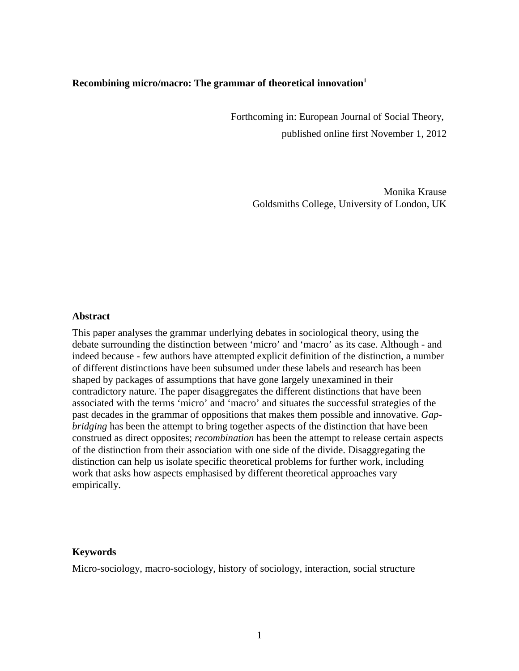# **Recombining micro/macro: The grammar of theoretical innovation<sup>1</sup>**

 Forthcoming in: European Journal of Social Theory, published online first November 1, 2012

> Monika Krause Goldsmiths College, University of London, UK

## **Abstract**

This paper analyses the grammar underlying debates in sociological theory, using the debate surrounding the distinction between 'micro' and 'macro' as its case. Although - and indeed because - few authors have attempted explicit definition of the distinction, a number of different distinctions have been subsumed under these labels and research has been shaped by packages of assumptions that have gone largely unexamined in their contradictory nature. The paper disaggregates the different distinctions that have been associated with the terms 'micro' and 'macro' and situates the successful strategies of the past decades in the grammar of oppositions that makes them possible and innovative. *Gapbridging* has been the attempt to bring together aspects of the distinction that have been construed as direct opposites; *recombination* has been the attempt to release certain aspects of the distinction from their association with one side of the divide. Disaggregating the distinction can help us isolate specific theoretical problems for further work, including work that asks how aspects emphasised by different theoretical approaches vary empirically.

#### **Keywords**

Micro-sociology, macro-sociology, history of sociology, interaction, social structure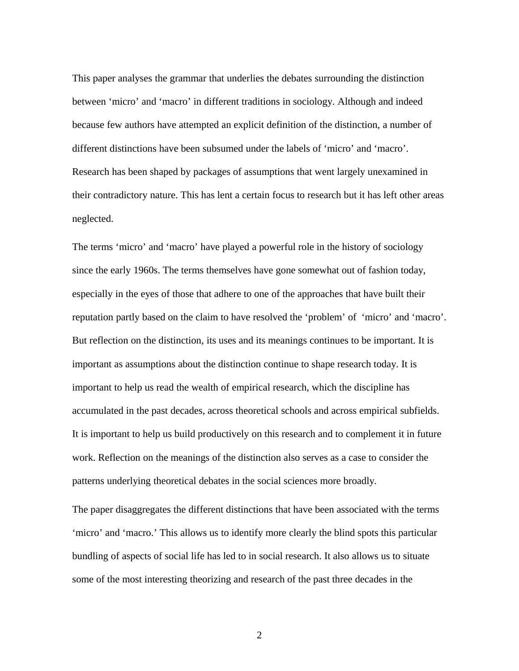This paper analyses the grammar that underlies the debates surrounding the distinction between 'micro' and 'macro' in different traditions in sociology. Although and indeed because few authors have attempted an explicit definition of the distinction, a number of different distinctions have been subsumed under the labels of 'micro' and 'macro'. Research has been shaped by packages of assumptions that went largely unexamined in their contradictory nature. This has lent a certain focus to research but it has left other areas neglected.

The terms 'micro' and 'macro' have played a powerful role in the history of sociology since the early 1960s. The terms themselves have gone somewhat out of fashion today, especially in the eyes of those that adhere to one of the approaches that have built their reputation partly based on the claim to have resolved the 'problem' of 'micro' and 'macro'. But reflection on the distinction, its uses and its meanings continues to be important. It is important as assumptions about the distinction continue to shape research today. It is important to help us read the wealth of empirical research, which the discipline has accumulated in the past decades, across theoretical schools and across empirical subfields. It is important to help us build productively on this research and to complement it in future work. Reflection on the meanings of the distinction also serves as a case to consider the patterns underlying theoretical debates in the social sciences more broadly.

The paper disaggregates the different distinctions that have been associated with the terms 'micro' and 'macro.' This allows us to identify more clearly the blind spots this particular bundling of aspects of social life has led to in social research. It also allows us to situate some of the most interesting theorizing and research of the past three decades in the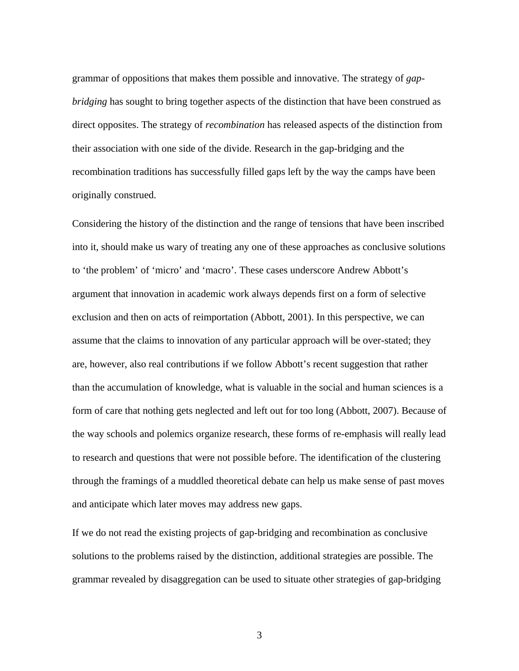grammar of oppositions that makes them possible and innovative. The strategy of *gapbridging* has sought to bring together aspects of the distinction that have been construed as direct opposites. The strategy of *recombination* has released aspects of the distinction from their association with one side of the divide. Research in the gap-bridging and the recombination traditions has successfully filled gaps left by the way the camps have been originally construed.

Considering the history of the distinction and the range of tensions that have been inscribed into it, should make us wary of treating any one of these approaches as conclusive solutions to 'the problem' of 'micro' and 'macro'. These cases underscore Andrew Abbott's argument that innovation in academic work always depends first on a form of selective exclusion and then on acts of reimportation (Abbott, 2001). In this perspective, we can assume that the claims to innovation of any particular approach will be over-stated; they are, however, also real contributions if we follow Abbott's recent suggestion that rather than the accumulation of knowledge, what is valuable in the social and human sciences is a form of care that nothing gets neglected and left out for too long (Abbott, 2007). Because of the way schools and polemics organize research, these forms of re-emphasis will really lead to research and questions that were not possible before. The identification of the clustering through the framings of a muddled theoretical debate can help us make sense of past moves and anticipate which later moves may address new gaps.

If we do not read the existing projects of gap-bridging and recombination as conclusive solutions to the problems raised by the distinction, additional strategies are possible. The grammar revealed by disaggregation can be used to situate other strategies of gap-bridging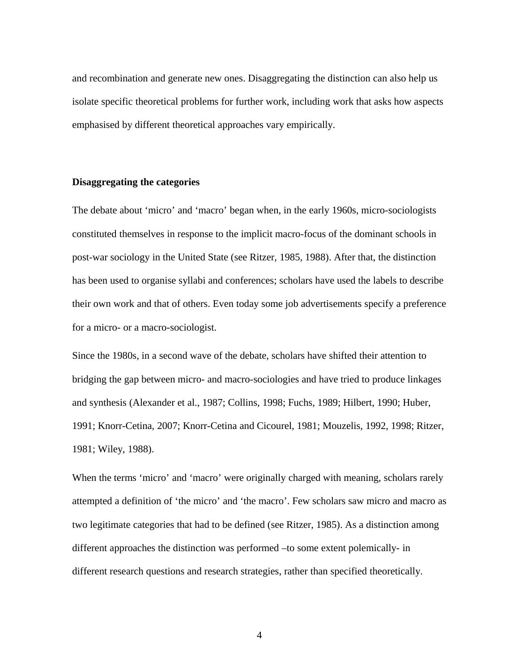and recombination and generate new ones. Disaggregating the distinction can also help us isolate specific theoretical problems for further work, including work that asks how aspects emphasised by different theoretical approaches vary empirically.

## **Disaggregating the categories**

The debate about 'micro' and 'macro' began when, in the early 1960s, micro-sociologists constituted themselves in response to the implicit macro-focus of the dominant schools in post-war sociology in the United State (see Ritzer, 1985, 1988). After that, the distinction has been used to organise syllabi and conferences; scholars have used the labels to describe their own work and that of others. Even today some job advertisements specify a preference for a micro- or a macro-sociologist.

Since the 1980s, in a second wave of the debate, scholars have shifted their attention to bridging the gap between micro- and macro-sociologies and have tried to produce linkages and synthesis (Alexander et al., 1987; Collins, 1998; Fuchs, 1989; Hilbert, 1990; Huber, 1991; Knorr-Cetina, 2007; Knorr-Cetina and Cicourel, 1981; Mouzelis, 1992, 1998; Ritzer, 1981; Wiley, 1988).

When the terms 'micro' and 'macro' were originally charged with meaning, scholars rarely attempted a definition of 'the micro' and 'the macro'. Few scholars saw micro and macro as two legitimate categories that had to be defined (see Ritzer, 1985). As a distinction among different approaches the distinction was performed –to some extent polemically- in different research questions and research strategies, rather than specified theoretically.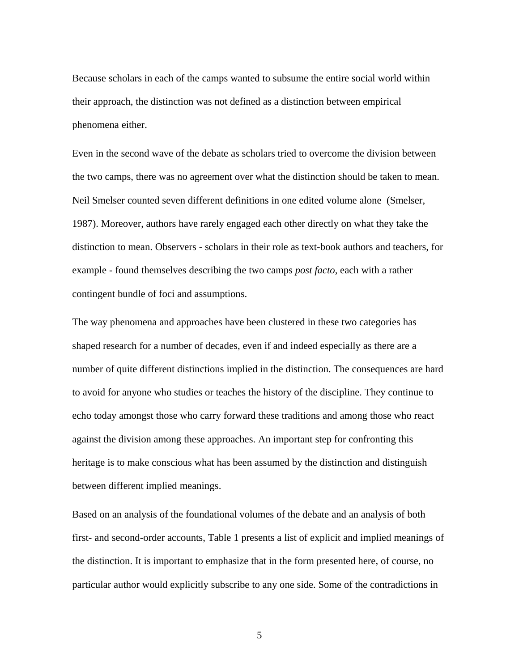Because scholars in each of the camps wanted to subsume the entire social world within their approach, the distinction was not defined as a distinction between empirical phenomena either.

Even in the second wave of the debate as scholars tried to overcome the division between the two camps, there was no agreement over what the distinction should be taken to mean. Neil Smelser counted seven different definitions in one edited volume alone (Smelser, 1987). Moreover, authors have rarely engaged each other directly on what they take the distinction to mean. Observers - scholars in their role as text-book authors and teachers, for example - found themselves describing the two camps *post facto*, each with a rather contingent bundle of foci and assumptions.

The way phenomena and approaches have been clustered in these two categories has shaped research for a number of decades, even if and indeed especially as there are a number of quite different distinctions implied in the distinction. The consequences are hard to avoid for anyone who studies or teaches the history of the discipline. They continue to echo today amongst those who carry forward these traditions and among those who react against the division among these approaches. An important step for confronting this heritage is to make conscious what has been assumed by the distinction and distinguish between different implied meanings.

Based on an analysis of the foundational volumes of the debate and an analysis of both first- and second-order accounts, Table 1 presents a list of explicit and implied meanings of the distinction. It is important to emphasize that in the form presented here, of course, no particular author would explicitly subscribe to any one side. Some of the contradictions in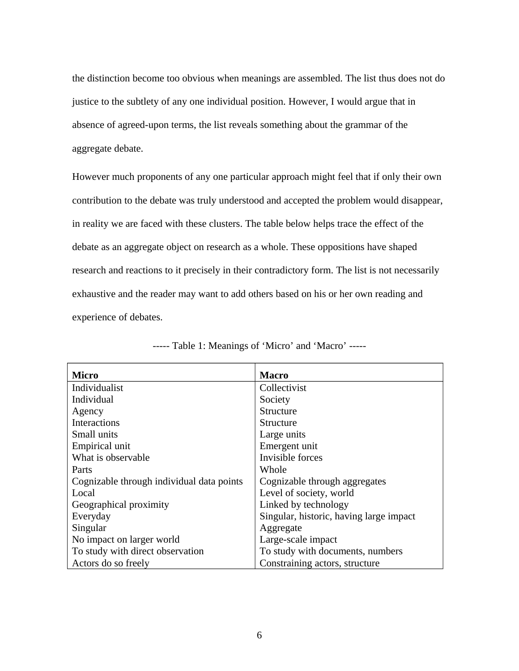the distinction become too obvious when meanings are assembled. The list thus does not do justice to the subtlety of any one individual position. However, I would argue that in absence of agreed-upon terms, the list reveals something about the grammar of the aggregate debate.

However much proponents of any one particular approach might feel that if only their own contribution to the debate was truly understood and accepted the problem would disappear, in reality we are faced with these clusters. The table below helps trace the effect of the debate as an aggregate object on research as a whole. These oppositions have shaped research and reactions to it precisely in their contradictory form. The list is not necessarily exhaustive and the reader may want to add others based on his or her own reading and experience of debates.

| Micro                                     | <b>Macro</b>                            |
|-------------------------------------------|-----------------------------------------|
| Individualist                             | Collectivist                            |
| Individual                                | Society                                 |
| Agency                                    | Structure                               |
| Interactions                              | Structure                               |
| Small units                               | Large units                             |
| Empirical unit                            | Emergent unit                           |
| What is observable                        | Invisible forces                        |
| Parts                                     | Whole                                   |
| Cognizable through individual data points | Cognizable through aggregates           |
| Local                                     | Level of society, world                 |
| Geographical proximity                    | Linked by technology                    |
| Everyday                                  | Singular, historic, having large impact |
| Singular                                  | Aggregate                               |
| No impact on larger world                 | Large-scale impact                      |
| To study with direct observation          | To study with documents, numbers        |
| Actors do so freely                       | Constraining actors, structure          |

----- Table 1: Meanings of 'Micro' and 'Macro' -----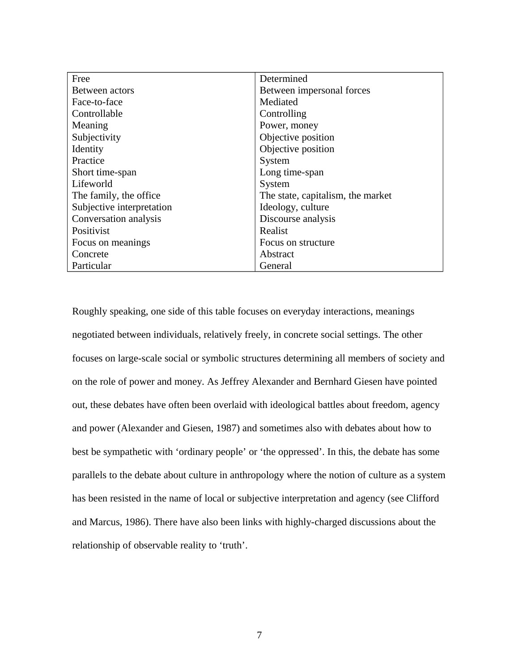| Free                      | Determined                        |
|---------------------------|-----------------------------------|
| Between actors            | Between impersonal forces         |
| Face-to-face              | Mediated                          |
| Controllable              | Controlling                       |
| Meaning                   | Power, money                      |
| Subjectivity              | Objective position                |
| Identity                  | Objective position                |
| Practice                  | System                            |
| Short time-span           | Long time-span                    |
| Lifeworld                 | System                            |
| The family, the office    | The state, capitalism, the market |
| Subjective interpretation | Ideology, culture                 |
| Conversation analysis     | Discourse analysis                |
| Positivist                | Realist                           |
| Focus on meanings         | Focus on structure                |
| Concrete                  | Abstract                          |
| Particular                | General                           |

Roughly speaking, one side of this table focuses on everyday interactions, meanings negotiated between individuals, relatively freely, in concrete social settings. The other focuses on large-scale social or symbolic structures determining all members of society and on the role of power and money. As Jeffrey Alexander and Bernhard Giesen have pointed out, these debates have often been overlaid with ideological battles about freedom, agency and power (Alexander and Giesen, 1987) and sometimes also with debates about how to best be sympathetic with 'ordinary people' or 'the oppressed'. In this, the debate has some parallels to the debate about culture in anthropology where the notion of culture as a system has been resisted in the name of local or subjective interpretation and agency (see Clifford and Marcus, 1986). There have also been links with highly-charged discussions about the relationship of observable reality to 'truth'.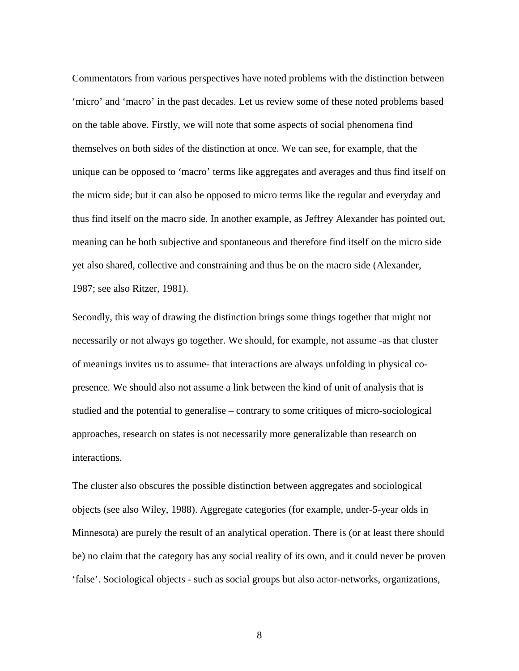Commentators from various perspectives have noted problems with the distinction between 'micro' and 'macro' in the past decades. Let us review some of these noted problems based on the table above. Firstly, we will note that some aspects of social phenomena find themselves on both sides of the distinction at once. We can see, for example, that the unique can be opposed to 'macro' terms like aggregates and averages and thus find itself on the micro side; but it can also be opposed to micro terms like the regular and everyday and thus find itself on the macro side. In another example, as Jeffrey Alexander has pointed out, meaning can be both subjective and spontaneous and therefore find itself on the micro side yet also shared, collective and constraining and thus be on the macro side (Alexander, 1987; see also Ritzer, 1981).

Secondly, this way of drawing the distinction brings some things together that might not necessarily or not always go together. We should, for example, not assume -as that cluster of meanings invites us to assume- that interactions are always unfolding in physical copresence. We should also not assume a link between the kind of unit of analysis that is studied and the potential to generalise – contrary to some critiques of micro-sociological approaches, research on states is not necessarily more generalizable than research on interactions.

The cluster also obscures the possible distinction between aggregates and sociological objects (see also Wiley, 1988). Aggregate categories (for example, under-5-year olds in Minnesota) are purely the result of an analytical operation. There is (or at least there should be) no claim that the category has any social reality of its own, and it could never be proven 'false'. Sociological objects - such as social groups but also actor-networks, organizations,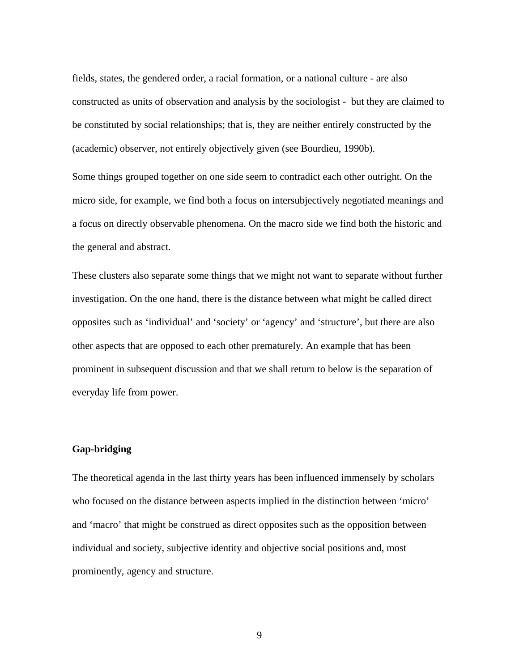fields, states, the gendered order, a racial formation, or a national culture - are also constructed as units of observation and analysis by the sociologist - but they are claimed to be constituted by social relationships; that is, they are neither entirely constructed by the (academic) observer, not entirely objectively given (see Bourdieu, 1990b).

Some things grouped together on one side seem to contradict each other outright. On the micro side, for example, we find both a focus on intersubjectively negotiated meanings and a focus on directly observable phenomena. On the macro side we find both the historic and the general and abstract.

These clusters also separate some things that we might not want to separate without further investigation. On the one hand, there is the distance between what might be called direct opposites such as 'individual' and 'society' or 'agency' and 'structure', but there are also other aspects that are opposed to each other prematurely. An example that has been prominent in subsequent discussion and that we shall return to below is the separation of everyday life from power.

# **Gap-bridging**

The theoretical agenda in the last thirty years has been influenced immensely by scholars who focused on the distance between aspects implied in the distinction between 'micro' and 'macro' that might be construed as direct opposites such as the opposition between individual and society, subjective identity and objective social positions and, most prominently, agency and structure.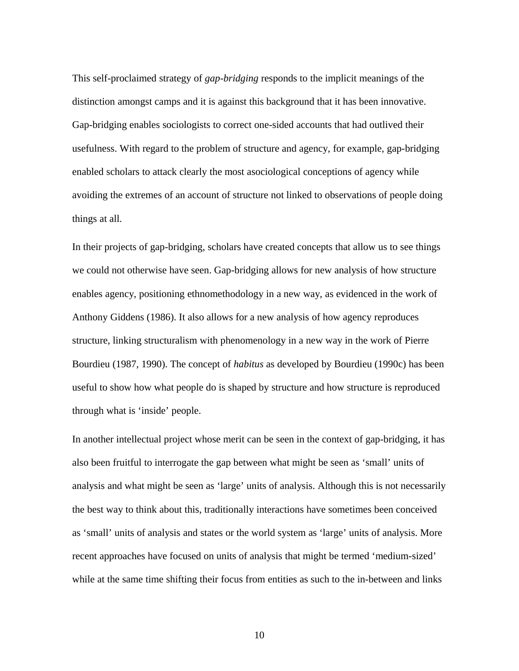This self-proclaimed strategy of *gap-bridging* responds to the implicit meanings of the distinction amongst camps and it is against this background that it has been innovative. Gap-bridging enables sociologists to correct one-sided accounts that had outlived their usefulness. With regard to the problem of structure and agency, for example, gap-bridging enabled scholars to attack clearly the most asociological conceptions of agency while avoiding the extremes of an account of structure not linked to observations of people doing things at all.

In their projects of gap-bridging, scholars have created concepts that allow us to see things we could not otherwise have seen. Gap-bridging allows for new analysis of how structure enables agency, positioning ethnomethodology in a new way, as evidenced in the work of Anthony Giddens (1986). It also allows for a new analysis of how agency reproduces structure, linking structuralism with phenomenology in a new way in the work of Pierre Bourdieu (1987, 1990). The concept of *habitus* as developed by Bourdieu (1990c) has been useful to show how what people do is shaped by structure and how structure is reproduced through what is 'inside' people.

In another intellectual project whose merit can be seen in the context of gap-bridging, it has also been fruitful to interrogate the gap between what might be seen as 'small' units of analysis and what might be seen as 'large' units of analysis. Although this is not necessarily the best way to think about this, traditionally interactions have sometimes been conceived as 'small' units of analysis and states or the world system as 'large' units of analysis. More recent approaches have focused on units of analysis that might be termed 'medium-sized' while at the same time shifting their focus from entities as such to the in-between and links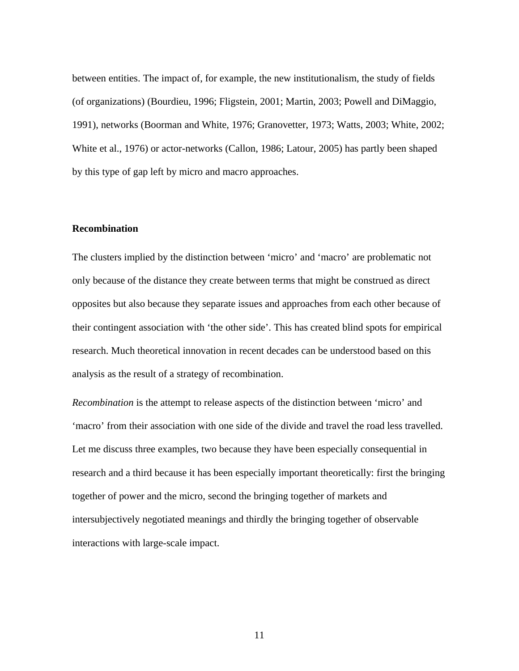between entities. The impact of, for example, the new institutionalism, the study of fields (of organizations) (Bourdieu, 1996; Fligstein, 2001; Martin, 2003; Powell and DiMaggio, 1991), networks (Boorman and White, 1976; Granovetter, 1973; Watts, 2003; White, 2002; White et al., 1976) or actor-networks (Callon, 1986; Latour, 2005) has partly been shaped by this type of gap left by micro and macro approaches.

### **Recombination**

The clusters implied by the distinction between 'micro' and 'macro' are problematic not only because of the distance they create between terms that might be construed as direct opposites but also because they separate issues and approaches from each other because of their contingent association with 'the other side'. This has created blind spots for empirical research. Much theoretical innovation in recent decades can be understood based on this analysis as the result of a strategy of recombination.

*Recombination* is the attempt to release aspects of the distinction between 'micro' and 'macro' from their association with one side of the divide and travel the road less travelled. Let me discuss three examples, two because they have been especially consequential in research and a third because it has been especially important theoretically: first the bringing together of power and the micro, second the bringing together of markets and intersubjectively negotiated meanings and thirdly the bringing together of observable interactions with large-scale impact.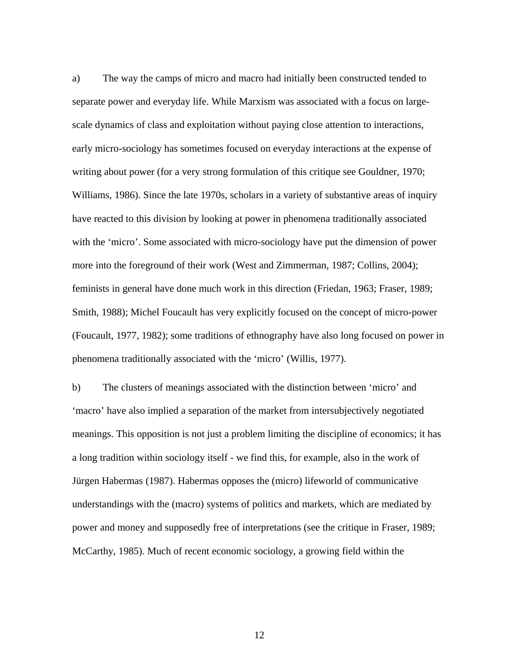a) The way the camps of micro and macro had initially been constructed tended to separate power and everyday life. While Marxism was associated with a focus on largescale dynamics of class and exploitation without paying close attention to interactions, early micro-sociology has sometimes focused on everyday interactions at the expense of writing about power (for a very strong formulation of this critique see Gouldner, 1970; Williams, 1986). Since the late 1970s, scholars in a variety of substantive areas of inquiry have reacted to this division by looking at power in phenomena traditionally associated with the 'micro'. Some associated with micro-sociology have put the dimension of power more into the foreground of their work (West and Zimmerman, 1987; Collins, 2004); feminists in general have done much work in this direction (Friedan, 1963; Fraser, 1989; Smith, 1988); Michel Foucault has very explicitly focused on the concept of micro-power (Foucault, 1977, 1982); some traditions of ethnography have also long focused on power in phenomena traditionally associated with the 'micro' (Willis, 1977).

b) The clusters of meanings associated with the distinction between 'micro' and 'macro' have also implied a separation of the market from intersubjectively negotiated meanings. This opposition is not just a problem limiting the discipline of economics; it has a long tradition within sociology itself - we find this, for example, also in the work of Jürgen Habermas (1987). Habermas opposes the (micro) lifeworld of communicative understandings with the (macro) systems of politics and markets, which are mediated by power and money and supposedly free of interpretations (see the critique in Fraser, 1989; McCarthy, 1985). Much of recent economic sociology, a growing field within the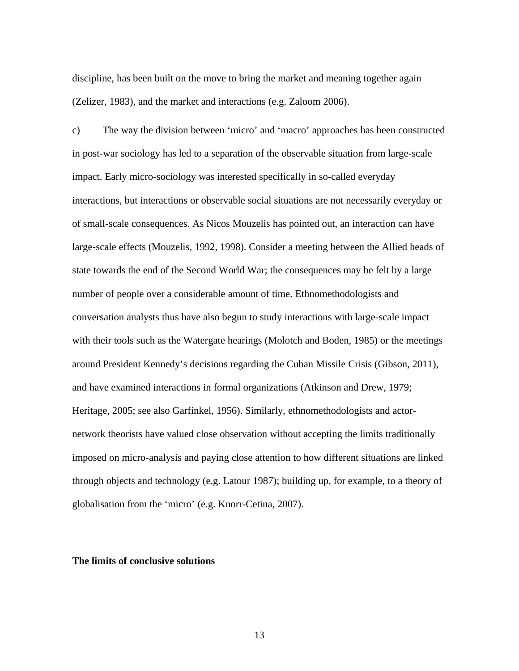discipline, has been built on the move to bring the market and meaning together again (Zelizer, 1983), and the market and interactions (e.g. Zaloom 2006).

c) The way the division between 'micro' and 'macro' approaches has been constructed in post-war sociology has led to a separation of the observable situation from large-scale impact. Early micro-sociology was interested specifically in so-called everyday interactions, but interactions or observable social situations are not necessarily everyday or of small-scale consequences. As Nicos Mouzelis has pointed out, an interaction can have large-scale effects (Mouzelis, 1992, 1998). Consider a meeting between the Allied heads of state towards the end of the Second World War; the consequences may be felt by a large number of people over a considerable amount of time. Ethnomethodologists and conversation analysts thus have also begun to study interactions with large-scale impact with their tools such as the Watergate hearings (Molotch and Boden, 1985) or the meetings around President Kennedy's decisions regarding the Cuban Missile Crisis (Gibson, 2011), and have examined interactions in formal organizations (Atkinson and Drew, 1979; Heritage, 2005; see also Garfinkel, 1956). Similarly, ethnomethodologists and actornetwork theorists have valued close observation without accepting the limits traditionally imposed on micro-analysis and paying close attention to how different situations are linked through objects and technology (e.g. Latour 1987); building up, for example, to a theory of globalisation from the 'micro' (e.g. Knorr-Cetina, 2007).

#### **The limits of conclusive solutions**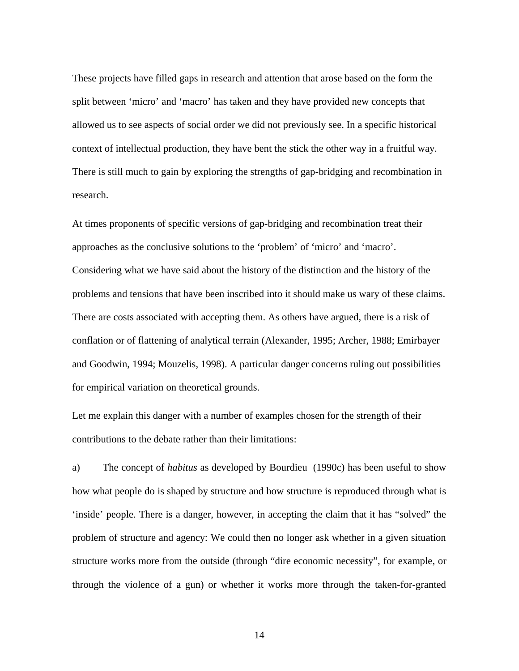These projects have filled gaps in research and attention that arose based on the form the split between 'micro' and 'macro' has taken and they have provided new concepts that allowed us to see aspects of social order we did not previously see. In a specific historical context of intellectual production, they have bent the stick the other way in a fruitful way. There is still much to gain by exploring the strengths of gap-bridging and recombination in research.

At times proponents of specific versions of gap-bridging and recombination treat their approaches as the conclusive solutions to the 'problem' of 'micro' and 'macro'. Considering what we have said about the history of the distinction and the history of the problems and tensions that have been inscribed into it should make us wary of these claims. There are costs associated with accepting them. As others have argued, there is a risk of conflation or of flattening of analytical terrain (Alexander, 1995; Archer, 1988; Emirbayer and Goodwin, 1994; Mouzelis, 1998). A particular danger concerns ruling out possibilities for empirical variation on theoretical grounds.

Let me explain this danger with a number of examples chosen for the strength of their contributions to the debate rather than their limitations:

a) The concept of *habitus* as developed by Bourdieu (1990c) has been useful to show how what people do is shaped by structure and how structure is reproduced through what is 'inside' people. There is a danger, however, in accepting the claim that it has "solved" the problem of structure and agency: We could then no longer ask whether in a given situation structure works more from the outside (through "dire economic necessity", for example, or through the violence of a gun) or whether it works more through the taken-for-granted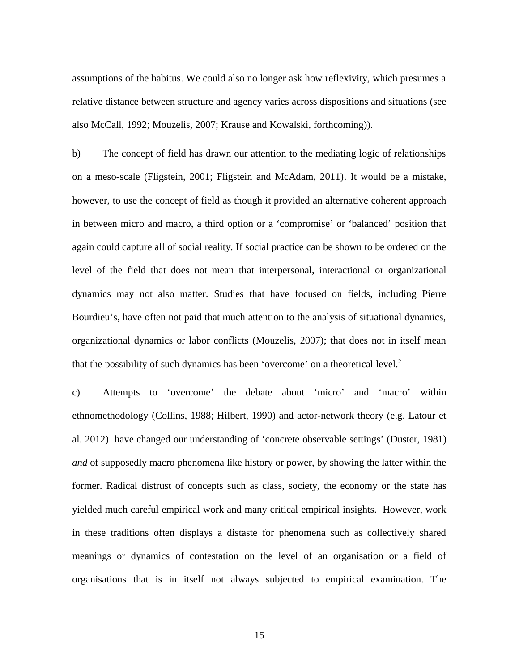assumptions of the habitus. We could also no longer ask how reflexivity, which presumes a relative distance between structure and agency varies across dispositions and situations (see also McCall, 1992; Mouzelis, 2007; Krause and Kowalski, forthcoming)).

b) The concept of field has drawn our attention to the mediating logic of relationships on a meso-scale (Fligstein, 2001; Fligstein and McAdam, 2011). It would be a mistake, however, to use the concept of field as though it provided an alternative coherent approach in between micro and macro, a third option or a 'compromise' or 'balanced' position that again could capture all of social reality. If social practice can be shown to be ordered on the level of the field that does not mean that interpersonal, interactional or organizational dynamics may not also matter. Studies that have focused on fields, including Pierre Bourdieu's, have often not paid that much attention to the analysis of situational dynamics, organizational dynamics or labor conflicts (Mouzelis, 2007); that does not in itself mean that the possibility of such dynamics has been 'overcome' on a theoretical level. $2$ 

c) Attempts to 'overcome' the debate about 'micro' and 'macro' within ethnomethodology (Collins, 1988; Hilbert, 1990) and actor-network theory (e.g. Latour et al. 2012) have changed our understanding of 'concrete observable settings' (Duster, 1981) *and* of supposedly macro phenomena like history or power, by showing the latter within the former. Radical distrust of concepts such as class, society, the economy or the state has yielded much careful empirical work and many critical empirical insights. However, work in these traditions often displays a distaste for phenomena such as collectively shared meanings or dynamics of contestation on the level of an organisation or a field of organisations that is in itself not always subjected to empirical examination. The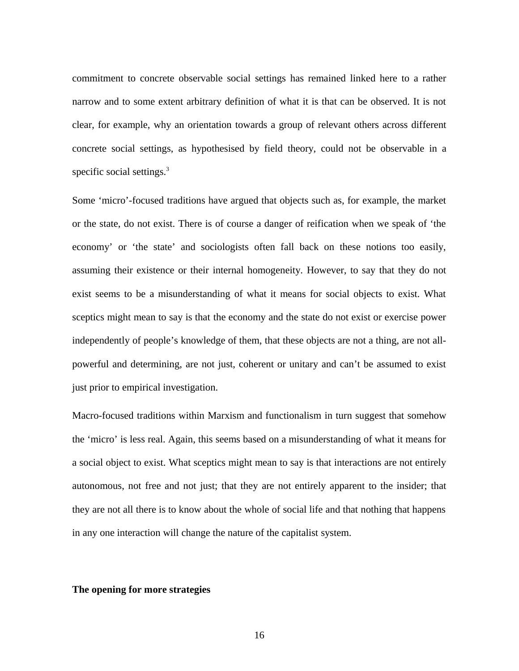commitment to concrete observable social settings has remained linked here to a rather narrow and to some extent arbitrary definition of what it is that can be observed. It is not clear, for example, why an orientation towards a group of relevant others across different concrete social settings, as hypothesised by field theory, could not be observable in a specific social settings.<sup>3</sup>

Some 'micro'-focused traditions have argued that objects such as, for example, the market or the state, do not exist. There is of course a danger of reification when we speak of 'the economy' or 'the state' and sociologists often fall back on these notions too easily, assuming their existence or their internal homogeneity. However, to say that they do not exist seems to be a misunderstanding of what it means for social objects to exist. What sceptics might mean to say is that the economy and the state do not exist or exercise power independently of people's knowledge of them, that these objects are not a thing, are not allpowerful and determining, are not just, coherent or unitary and can't be assumed to exist just prior to empirical investigation.

Macro-focused traditions within Marxism and functionalism in turn suggest that somehow the 'micro' is less real. Again, this seems based on a misunderstanding of what it means for a social object to exist. What sceptics might mean to say is that interactions are not entirely autonomous, not free and not just; that they are not entirely apparent to the insider; that they are not all there is to know about the whole of social life and that nothing that happens in any one interaction will change the nature of the capitalist system.

## **The opening for more strategies**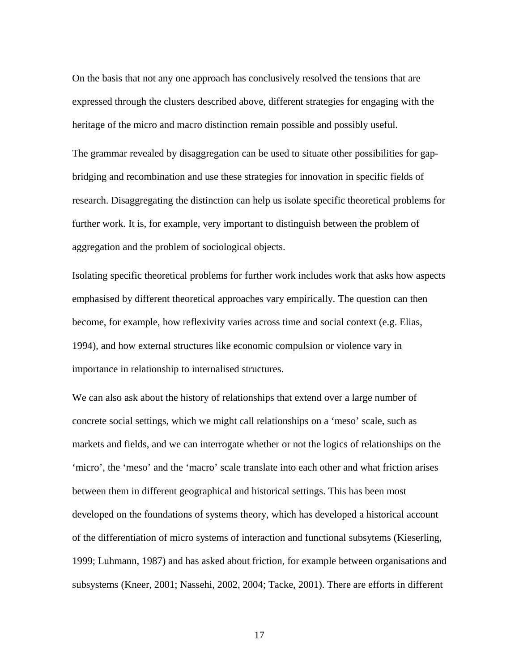On the basis that not any one approach has conclusively resolved the tensions that are expressed through the clusters described above, different strategies for engaging with the heritage of the micro and macro distinction remain possible and possibly useful.

The grammar revealed by disaggregation can be used to situate other possibilities for gapbridging and recombination and use these strategies for innovation in specific fields of research. Disaggregating the distinction can help us isolate specific theoretical problems for further work. It is, for example, very important to distinguish between the problem of aggregation and the problem of sociological objects.

Isolating specific theoretical problems for further work includes work that asks how aspects emphasised by different theoretical approaches vary empirically. The question can then become, for example, how reflexivity varies across time and social context (e.g. Elias, 1994), and how external structures like economic compulsion or violence vary in importance in relationship to internalised structures.

We can also ask about the history of relationships that extend over a large number of concrete social settings, which we might call relationships on a 'meso' scale, such as markets and fields, and we can interrogate whether or not the logics of relationships on the 'micro', the 'meso' and the 'macro' scale translate into each other and what friction arises between them in different geographical and historical settings. This has been most developed on the foundations of systems theory, which has developed a historical account of the differentiation of micro systems of interaction and functional subsytems (Kieserling, 1999; Luhmann, 1987) and has asked about friction, for example between organisations and subsystems (Kneer, 2001; Nassehi, 2002, 2004; Tacke, 2001). There are efforts in different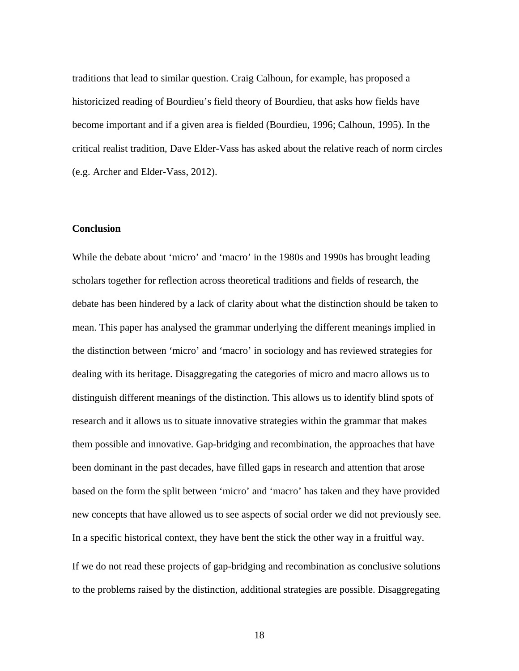traditions that lead to similar question. Craig Calhoun, for example, has proposed a historicized reading of Bourdieu's field theory of Bourdieu, that asks how fields have become important and if a given area is fielded (Bourdieu, 1996; Calhoun, 1995). In the critical realist tradition, Dave Elder-Vass has asked about the relative reach of norm circles (e.g. Archer and Elder-Vass, 2012).

### **Conclusion**

While the debate about 'micro' and 'macro' in the 1980s and 1990s has brought leading scholars together for reflection across theoretical traditions and fields of research, the debate has been hindered by a lack of clarity about what the distinction should be taken to mean. This paper has analysed the grammar underlying the different meanings implied in the distinction between 'micro' and 'macro' in sociology and has reviewed strategies for dealing with its heritage. Disaggregating the categories of micro and macro allows us to distinguish different meanings of the distinction. This allows us to identify blind spots of research and it allows us to situate innovative strategies within the grammar that makes them possible and innovative. Gap-bridging and recombination, the approaches that have been dominant in the past decades, have filled gaps in research and attention that arose based on the form the split between 'micro' and 'macro' has taken and they have provided new concepts that have allowed us to see aspects of social order we did not previously see. In a specific historical context, they have bent the stick the other way in a fruitful way.

If we do not read these projects of gap-bridging and recombination as conclusive solutions to the problems raised by the distinction, additional strategies are possible. Disaggregating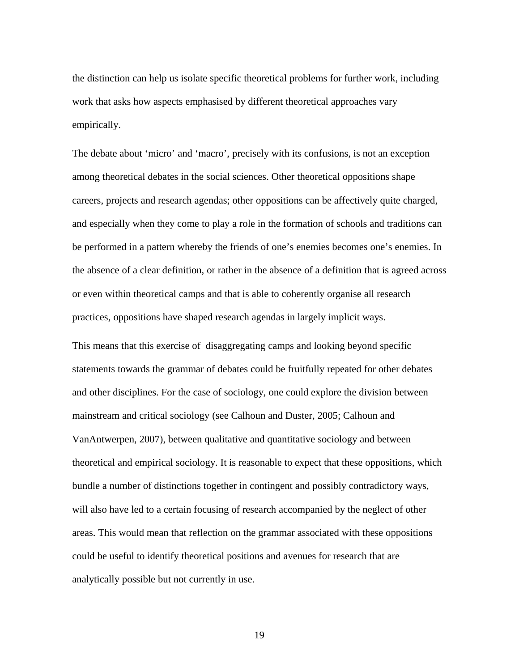the distinction can help us isolate specific theoretical problems for further work, including work that asks how aspects emphasised by different theoretical approaches vary empirically.

The debate about 'micro' and 'macro', precisely with its confusions, is not an exception among theoretical debates in the social sciences. Other theoretical oppositions shape careers, projects and research agendas; other oppositions can be affectively quite charged, and especially when they come to play a role in the formation of schools and traditions can be performed in a pattern whereby the friends of one's enemies becomes one's enemies. In the absence of a clear definition, or rather in the absence of a definition that is agreed across or even within theoretical camps and that is able to coherently organise all research practices, oppositions have shaped research agendas in largely implicit ways.

This means that this exercise of disaggregating camps and looking beyond specific statements towards the grammar of debates could be fruitfully repeated for other debates and other disciplines. For the case of sociology, one could explore the division between mainstream and critical sociology (see Calhoun and Duster, 2005; Calhoun and VanAntwerpen, 2007), between qualitative and quantitative sociology and between theoretical and empirical sociology. It is reasonable to expect that these oppositions, which bundle a number of distinctions together in contingent and possibly contradictory ways, will also have led to a certain focusing of research accompanied by the neglect of other areas. This would mean that reflection on the grammar associated with these oppositions could be useful to identify theoretical positions and avenues for research that are analytically possible but not currently in use.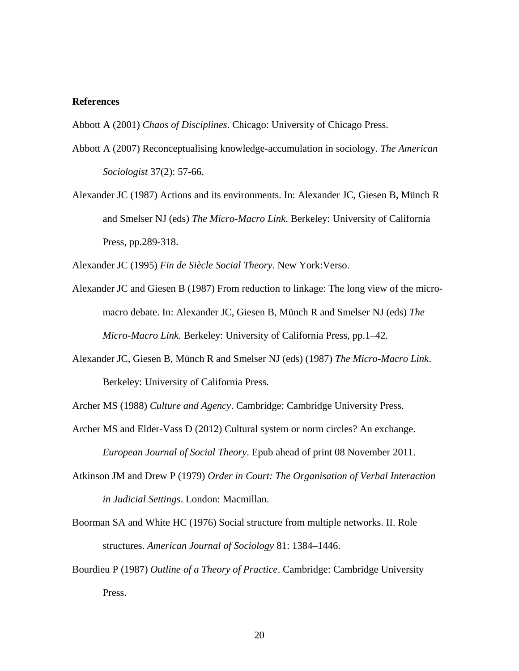### **References**

Abbott A (2001) *Chaos of Disciplines*. Chicago: University of Chicago Press.

- Abbott A (2007) Reconceptualising knowledge-accumulation in sociology. *The American Sociologist* 37(2): 57-66.
- Alexander JC (1987) Actions and its environments. In: Alexander JC, Giesen B, Münch R and Smelser NJ (eds) *The Micro-Macro Link*. Berkeley: University of California Press, pp.289-318.

Alexander JC (1995) *Fin de Siècle Social Theory*. New York:Verso.

- Alexander JC and Giesen B (1987) From reduction to linkage: The long view of the micromacro debate. In: Alexander JC, Giesen B, Münch R and Smelser NJ (eds) *The Micro-Macro Link*. Berkeley: University of California Press, pp.1–42.
- Alexander JC, Giesen B, Münch R and Smelser NJ (eds) (1987) *The Micro-Macro Link*. Berkeley: University of California Press.

Archer MS (1988) *Culture and Agency*. Cambridge: Cambridge University Press.

- Archer MS and Elder-Vass D (2012) Cultural system or norm circles? An exchange. *European Journal of Social Theory*. Epub ahead of print 08 November 2011.
- Atkinson JM and Drew P (1979) *Order in Court: The Organisation of Verbal Interaction in Judicial Settings*. London: Macmillan.
- Boorman SA and White HC (1976) Social structure from multiple networks. II. Role structures. *American Journal of Sociology* 81: 1384–1446.
- Bourdieu P (1987) *Outline of a Theory of Practice*. Cambridge: Cambridge University Press.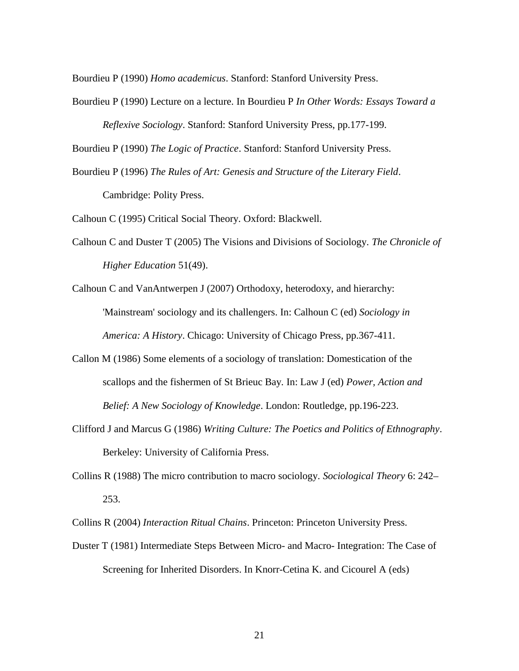Bourdieu P (1990) *Homo academicus*. Stanford: Stanford University Press.

Bourdieu P (1990) Lecture on a lecture. In Bourdieu P *In Other Words: Essays Toward a Reflexive Sociology*. Stanford: Stanford University Press, pp.177-199.

Bourdieu P (1990) *The Logic of Practice*. Stanford: Stanford University Press.

Bourdieu P (1996) *The Rules of Art: Genesis and Structure of the Literary Field*. Cambridge: Polity Press.

Calhoun C (1995) Critical Social Theory. Oxford: Blackwell.

Calhoun C and Duster T (2005) The Visions and Divisions of Sociology. *The Chronicle of Higher Education* 51(49).

Calhoun C and VanAntwerpen J (2007) Orthodoxy, heterodoxy, and hierarchy: 'Mainstream' sociology and its challengers. In: Calhoun C (ed) *Sociology in America: A History*. Chicago: University of Chicago Press, pp.367-411.

- Callon M (1986) Some elements of a sociology of translation: Domestication of the scallops and the fishermen of St Brieuc Bay. In: Law J (ed) *Power, Action and Belief: A New Sociology of Knowledge*. London: Routledge, pp.196-223.
- Clifford J and Marcus G (1986) *Writing Culture: The Poetics and Politics of Ethnography*. Berkeley: University of California Press.
- Collins R (1988) The micro contribution to macro sociology. *Sociological Theory* 6: 242– 253.

Collins R (2004) *Interaction Ritual Chains*. Princeton: Princeton University Press.

Duster T (1981) Intermediate Steps Between Micro- and Macro- Integration: The Case of Screening for Inherited Disorders. In Knorr-Cetina K. and Cicourel A (eds)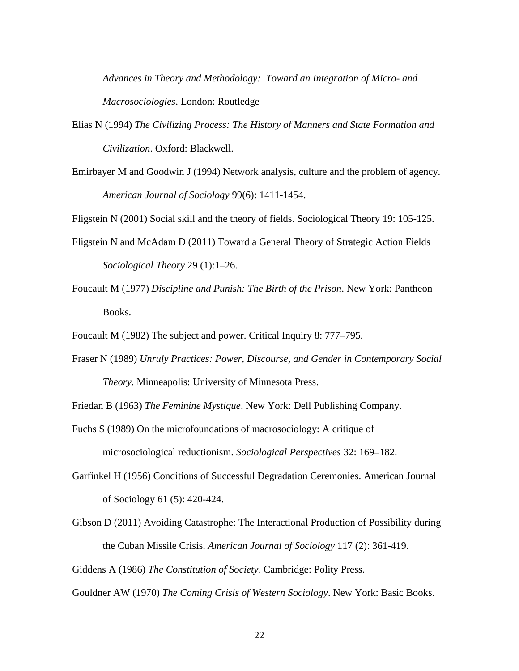*Advances in Theory and Methodology: Toward an Integration of Micro- and Macrosociologies*. London: Routledge

- Elias N (1994) *The Civilizing Process: The History of Manners and State Formation and Civilization*. Oxford: Blackwell.
- Emirbayer M and Goodwin J (1994) Network analysis, culture and the problem of agency. *American Journal of Sociology* 99(6): 1411-1454.

Fligstein N (2001) Social skill and the theory of fields. Sociological Theory 19: 105-125.

- Fligstein N and McAdam D (2011) Toward a General Theory of Strategic Action Fields *Sociological Theory* 29 (1):1–26.
- Foucault M (1977) *Discipline and Punish: The Birth of the Prison*. New York: Pantheon Books.

Foucault M (1982) The subject and power. Critical Inquiry 8: 777–795.

Fraser N (1989) *Unruly Practices: Power, Discourse, and Gender in Contemporary Social Theory*. Minneapolis: University of Minnesota Press.

Friedan B (1963) *The Feminine Mystique*. New York: Dell Publishing Company.

- Fuchs S (1989) On the microfoundations of macrosociology: A critique of microsociological reductionism. *Sociological Perspectives* 32: 169–182.
- Garfinkel H (1956) Conditions of Successful Degradation Ceremonies. American Journal of Sociology 61 (5): 420-424.
- Gibson D (2011) Avoiding Catastrophe: The Interactional Production of Possibility during the Cuban Missile Crisis. *American Journal of Sociology* 117 (2): 361-419.

Giddens A (1986) *The Constitution of Society*. Cambridge: Polity Press.

Gouldner AW (1970) *The Coming Crisis of Western Sociology*. New York: Basic Books.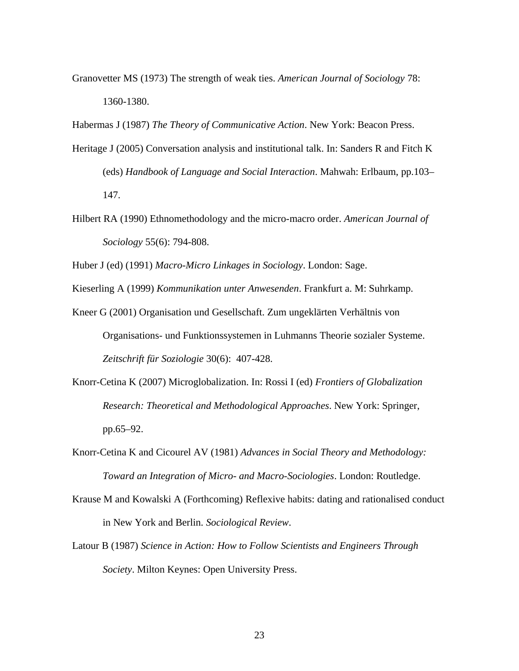Granovetter MS (1973) The strength of weak ties. *American Journal of Sociology* 78: 1360-1380.

Habermas J (1987) *The Theory of Communicative Action*. New York: Beacon Press.

- Heritage J (2005) Conversation analysis and institutional talk. In: Sanders R and Fitch K (eds) *Handbook of Language and Social Interaction*. Mahwah: Erlbaum, pp.103– 147.
- Hilbert RA (1990) Ethnomethodology and the micro-macro order. *American Journal of Sociology* 55(6): 794-808.

Huber J (ed) (1991) *Macro-Micro Linkages in Sociology*. London: Sage.

Kieserling A (1999) *Kommunikation unter Anwesenden*. Frankfurt a. M: Suhrkamp.

- Kneer G (2001) Organisation und Gesellschaft. Zum ungeklärten Verhältnis von Organisations- und Funktionssystemen in Luhmanns Theorie sozialer Systeme. *Zeitschrift für Soziologie* 30(6): 407-428.
- Knorr-Cetina K (2007) Microglobalization. In: Rossi I (ed) *Frontiers of Globalization Research: Theoretical and Methodological Approaches*. New York: Springer, pp.65–92.
- Knorr-Cetina K and Cicourel AV (1981) *Advances in Social Theory and Methodology: Toward an Integration of Micro- and Macro-Sociologies*. London: Routledge.
- Krause M and Kowalski A (Forthcoming) Reflexive habits: dating and rationalised conduct in New York and Berlin. *Sociological Review*.
- Latour B (1987) *Science in Action: How to Follow Scientists and Engineers Through Society*. Milton Keynes: Open University Press.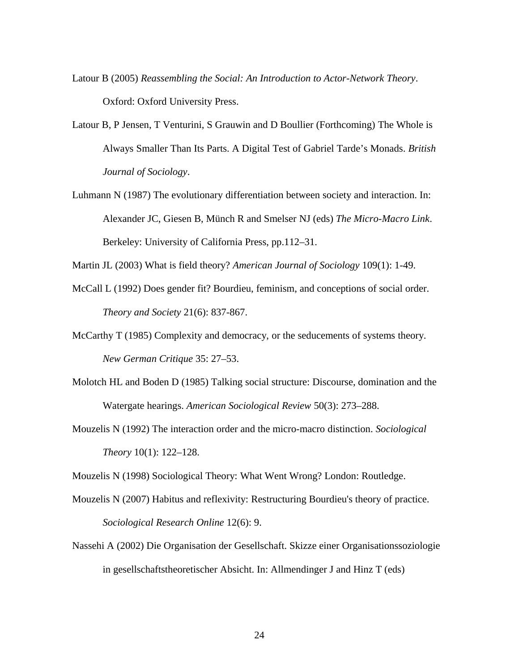- Latour B (2005) *Reassembling the Social: An Introduction to Actor-Network Theory*. Oxford: Oxford University Press.
- Latour B, P Jensen, T Venturini, S Grauwin and D Boullier (Forthcoming) The Whole is Always Smaller Than Its Parts. A Digital Test of Gabriel Tarde's Monads. *British Journal of Sociology*.
- Luhmann N (1987) The evolutionary differentiation between society and interaction. In: Alexander JC, Giesen B, Münch R and Smelser NJ (eds) *The Micro-Macro Link*. Berkeley: University of California Press, pp.112–31.

Martin JL (2003) What is field theory? *American Journal of Sociology* 109(1): 1-49.

- McCall L (1992) Does gender fit? Bourdieu, feminism, and conceptions of social order. *Theory and Society* 21(6): 837-867.
- McCarthy T (1985) Complexity and democracy, or the seducements of systems theory. *New German Critique* 35: 27–53.
- Molotch HL and Boden D (1985) Talking social structure: Discourse, domination and the Watergate hearings. *American Sociological Review* 50(3): 273–288.
- Mouzelis N (1992) The interaction order and the micro-macro distinction. *Sociological Theory* 10(1): 122–128.

Mouzelis N (1998) Sociological Theory: What Went Wrong? London: Routledge.

- Mouzelis N (2007) Habitus and reflexivity: Restructuring Bourdieu's theory of practice. *Sociological Research Online* 12(6): 9.
- Nassehi A (2002) Die Organisation der Gesellschaft. Skizze einer Organisationssoziologie in gesellschaftstheoretischer Absicht. In: Allmendinger J and Hinz T (eds)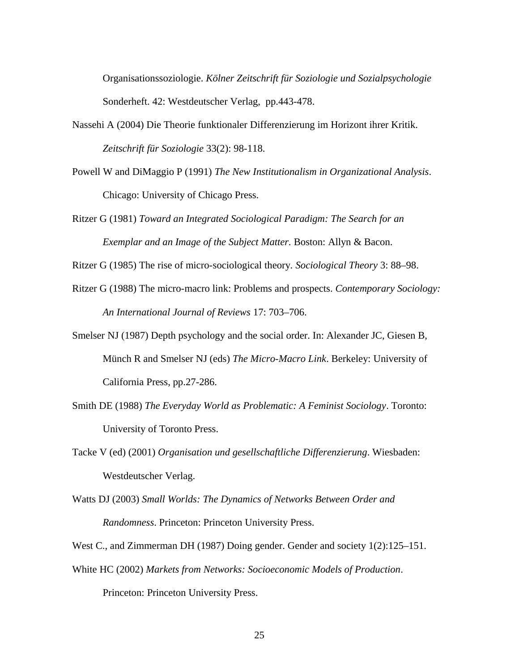Organisationssoziologie. *Kölner Zeitschrift für Soziologie und Sozialpsychologie* Sonderheft. 42: Westdeutscher Verlag, pp.443-478.

- Nassehi A (2004) Die Theorie funktionaler Differenzierung im Horizont ihrer Kritik. *Zeitschrift für Soziologie* 33(2): 98-118.
- Powell W and DiMaggio P (1991) *The New Institutionalism in Organizational Analysis*. Chicago: University of Chicago Press.
- Ritzer G (1981) *Toward an Integrated Sociological Paradigm: The Search for an Exemplar and an Image of the Subject Matter.* Boston: Allyn & Bacon.

Ritzer G (1985) The rise of micro-sociological theory. *Sociological Theory* 3: 88–98.

- Ritzer G (1988) The micro-macro link: Problems and prospects. *Contemporary Sociology: An International Journal of Reviews* 17: 703–706.
- Smelser NJ (1987) Depth psychology and the social order. In: Alexander JC, Giesen B, Münch R and Smelser NJ (eds) *The Micro-Macro Link*. Berkeley: University of California Press, pp.27-286.
- Smith DE (1988) *The Everyday World as Problematic: A Feminist Sociology*. Toronto: University of Toronto Press.
- Tacke V (ed) (2001) *Organisation und gesellschaftliche Differenzierung*. Wiesbaden: Westdeutscher Verlag.
- Watts DJ (2003) *Small Worlds: The Dynamics of Networks Between Order and Randomness*. Princeton: Princeton University Press.

West C., and Zimmerman DH (1987) Doing gender. Gender and society 1(2):125–151.

White HC (2002) *Markets from Networks: Socioeconomic Models of Production*. Princeton: Princeton University Press.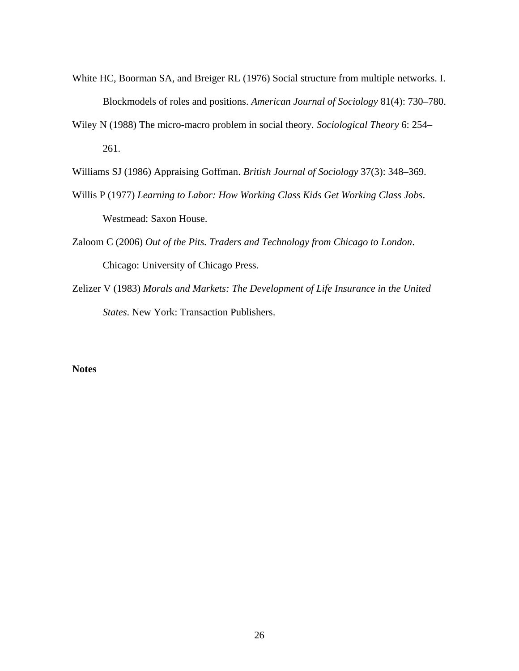- White HC, Boorman SA, and Breiger RL (1976) Social structure from multiple networks. I. Blockmodels of roles and positions. *American Journal of Sociology* 81(4): 730–780.
- Wiley N (1988) The micro-macro problem in social theory. *Sociological Theory* 6: 254– 261.

Williams SJ (1986) Appraising Goffman. *British Journal of Sociology* 37(3): 348–369.

- Willis P (1977) *Learning to Labor: How Working Class Kids Get Working Class Jobs*. Westmead: Saxon House.
- Zaloom C (2006) *Out of the Pits. Traders and Technology from Chicago to London*. Chicago: University of Chicago Press.
- Zelizer V (1983) *Morals and Markets: The Development of Life Insurance in the United States*. New York: Transaction Publishers.

# **Notes**